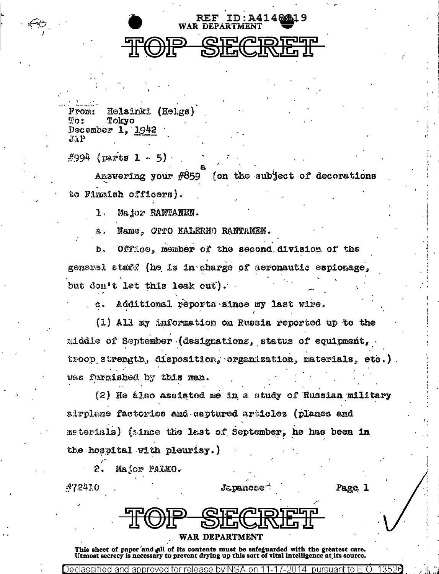## WAR DEPARTMENT SEC **TOP**

REF ID:A41481819

Helsinki (Helgs)  $From:$  $T22$ Tokyo December 1. 1942  $JAP$ 

 $\#$ 994 (parts 1 - 5)

Answering your #859 (on the subject of decorations to Finnish officers).

1. Major RANTANEN.

Name, OTTO KALERHO RANTANEN. a.

Office, member of the second division of the b. general stat? (he is in charge of aeronautic espionage. but don't let this leak out).

Additional reports since my last wire.  $c.$ 

 $(1)$  All my information on Russia reported up to the middle of September (designations, status of equipment, troop strength, disposition, organization, materials, etc.). wes furnished by this man.

 $(2)$  He álso assisted me in a study of Russian military airplane factories and captured articles (planes and materials) (since the last of September, he has been in the hospital with pleurisy.)

Major PALKO. 2.

Declassified and approved for release by NSA

| #72410 |               | $J$ apanese $\widehat{\phantom{a}}$ | Page |
|--------|---------------|-------------------------------------|------|
|        |               |                                     |      |
|        | <b>FIPATO</b> | <b>QIPADIPEP</b>                    |      |
|        |               | JU <b>EJWIWILG</b>                  |      |

## **WAR DEPARTMENT**

This sheet of paper and all of its contents must be safeguarded with the greatest care. Utmost secrecy is necessary to prevent drying up this sort of vital intelligence at its source.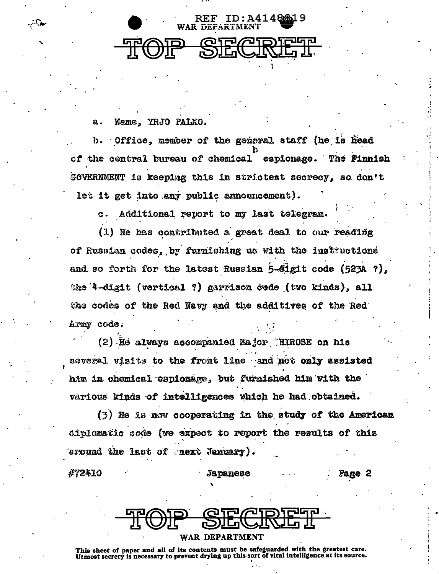

Name. YRJO PALKO. a.

ه باشر

Office, member of the general staff (he is head Ъ. of the central bureau of chemical espionage. The Finnish GOVERNMENT is keeping this in strictest secrecy, so don't let it get into any public announcement).

Additional report to my last telegram. c.

(1) He has contributed a great deal to our reading of Russian codes, by furnishing us with the instructions and so forth for the latest Russian 5-fligit code (523A ?), the 4-digit (vertical ?) garrison code (two kinds), all the codes of the Red Navy and the additives of the Red Army code.

(2) He always accompanied Major HIROSE on his several visits to the fromt line and not only assisted him in chemical espionage, but furnished him with the various kinds of intelligences which he had obtained.

 $(3)$  He is now cooperating in the study of the American diplomatic code (we expect to report the results of this eround the last of next January).

#72410

**Japanese** 

Page 2



**WAR DEPARTMENT** 

This sheet of paper and all of its contents must be safeguarded with the greatest care. Utmost secrecy is necessary to prevent drying up this sort of vital intelligence at its source.